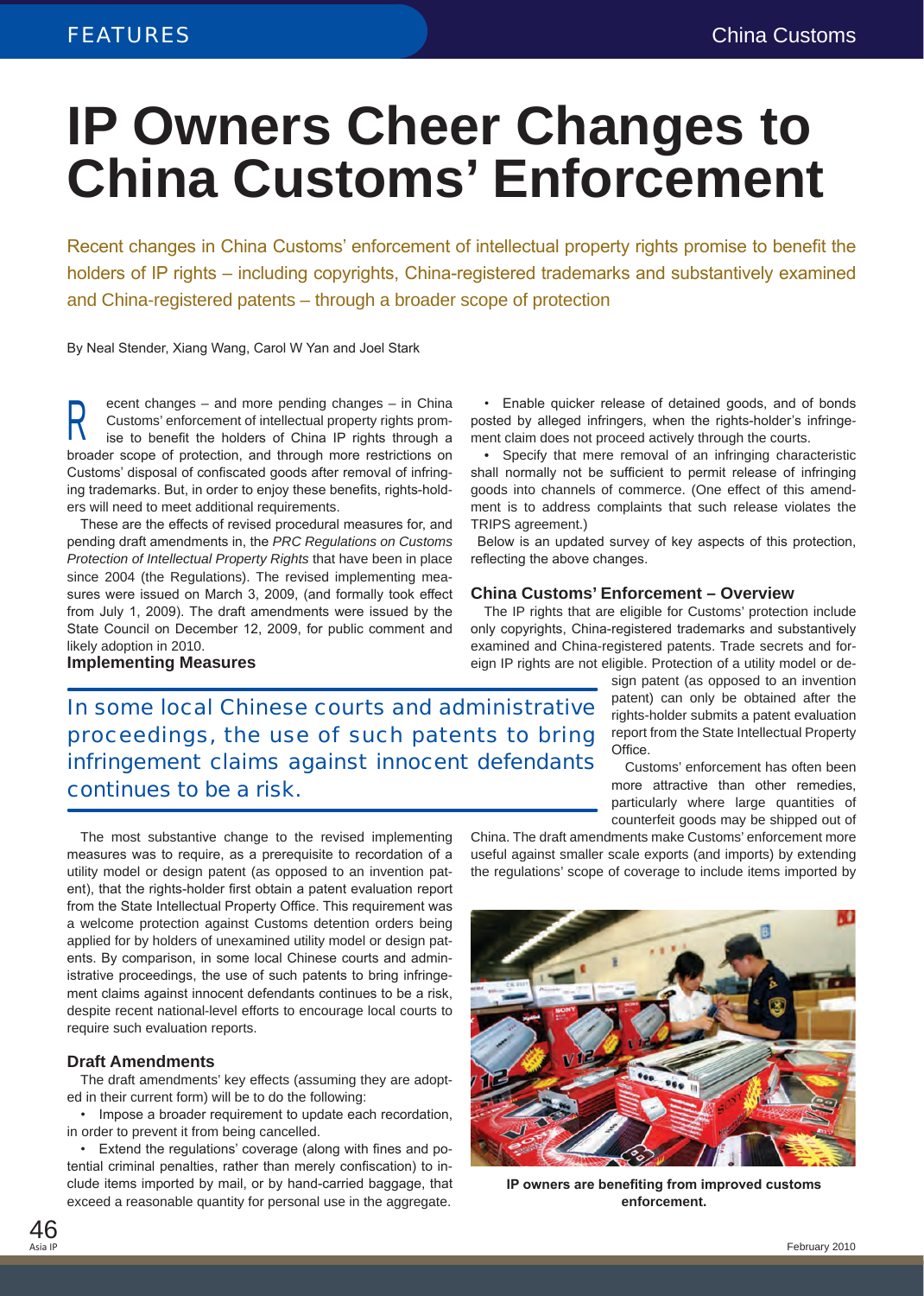# **IP Owners Cheer Changes to China Customs' Enforcement**

Recent changes in China Customs' enforcement of intellectual property rights promise to benefit the holders of IP rights – including copyrights, China-registered trademarks and substantively examined and China-registered patents – through a broader scope of protection

By Neal Stender, Xiang Wang, Carol W Yan and Joel Stark

ecent changes – and more pending changes – in China Customs' enforcement of intellectual property rights promise to benefit the holders of China IP rights through a broader scope of protection, and through more restrictions on Customs' disposal of confiscated goods after removal of infringing trademarks. But, in order to enjoy these benefits, rights-holders will need to meet additional requirements. R

These are the effects of revised procedural measures for, and pending draft amendments in, the *PRC Regulations on Customs Protection of Intellectual Property Rights* that have been in place since 2004 (the Regulations). The revised implementing measures were issued on March 3, 2009, (and formally took effect from July 1, 2009). The draft amendments were issued by the State Council on December 12, 2009, for public comment and likely adoption in 2010.

**Implementing Measures**

• Enable quicker release of detained goods, and of bonds posted by alleged infringers, when the rights-holder's infringement claim does not proceed actively through the courts.

• Specify that mere removal of an infringing characteristic shall normally not be sufficient to permit release of infringing goods into channels of commerce. (One effect of this amendment is to address complaints that such release violates the TRIPS agreement.)

Below is an updated survey of key aspects of this protection, reflecting the above changes.

#### **China Customs' Enforcement – Overview**

The IP rights that are eligible for Customs' protection include only copyrights, China-registered trademarks and substantively examined and China-registered patents. Trade secrets and foreign IP rights are not eligible. Protection of a utility model or de-

> sign patent (as opposed to an invention patent) can only be obtained after the rights-holder submits a patent evaluation report from the State Intellectual Property Office.

Customs' enforcement has often been more attractive than other remedies, particularly where large quantities of counterfeit goods may be shipped out of

In some local Chinese courts and administrative proceedings, the use of such patents to bring infringement claims against innocent defendants continues to be a risk.

The most substantive change to the revised implementing measures was to require, as a prerequisite to recordation of a utility model or design patent (as opposed to an invention patent), that the rights-holder first obtain a patent evaluation report from the State Intellectual Property Office. This requirement was a welcome protection against Customs detention orders being applied for by holders of unexamined utility model or design patents. By comparison, in some local Chinese courts and administrative proceedings, the use of such patents to bring infringement claims against innocent defendants continues to be a risk, despite recent national-level efforts to encourage local courts to require such evaluation reports.

#### **Draft Amendments**

The draft amendments' key effects (assuming they are adopted in their current form) will be to do the following:

• Impose a broader requirement to update each recordation, in order to prevent it from being cancelled.

• Extend the regulations' coverage (along with fines and potential criminal penalties, rather than merely confiscation) to include items imported by mail, or by hand-carried baggage, that exceed a reasonable quantity for personal use in the aggregate.

China. The draft amendments make Customs' enforcement more useful against smaller scale exports (and imports) by extending the regulations' scope of coverage to include items imported by



**IP owners are benefiting from improved customs enforcement.**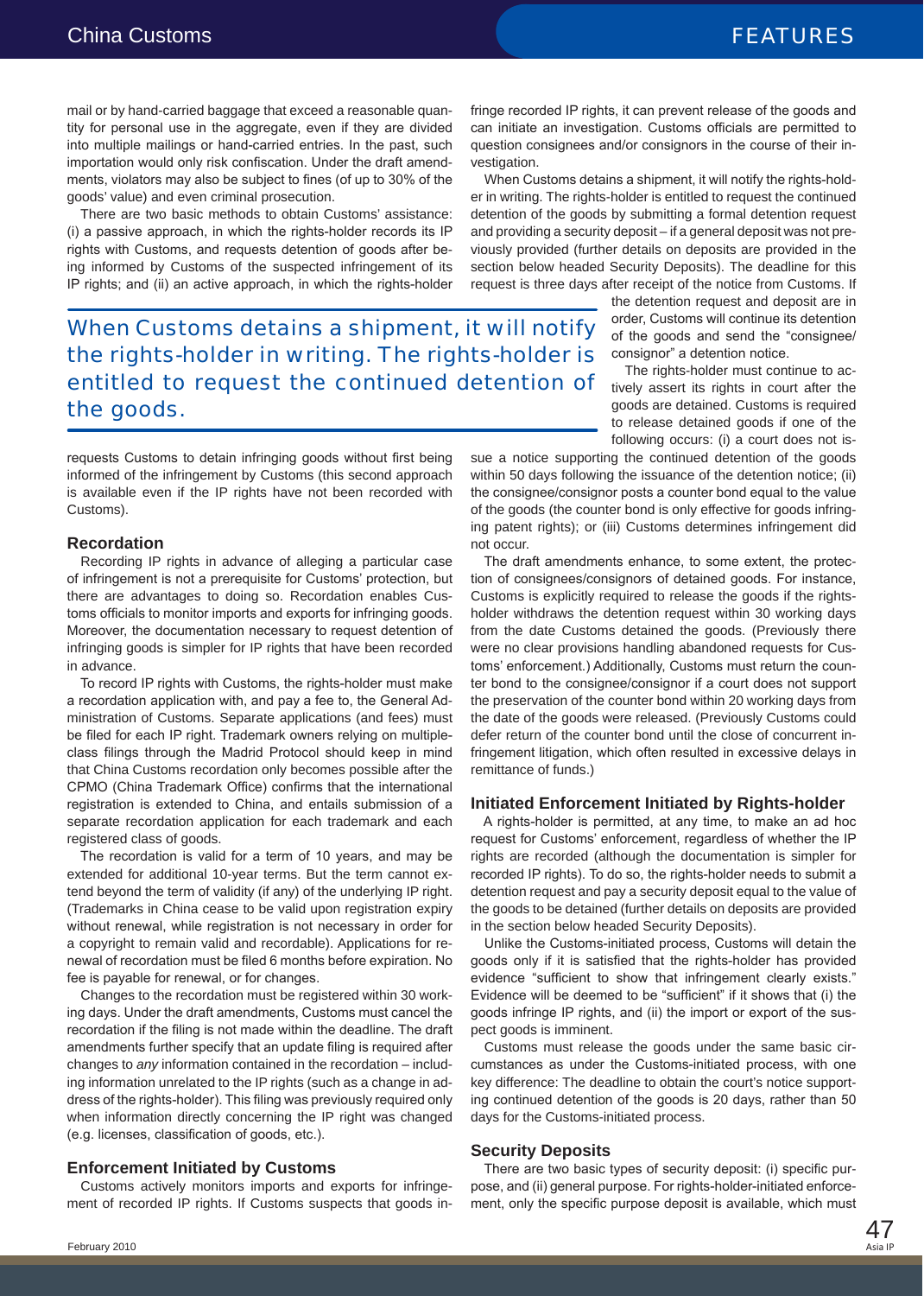mail or by hand-carried baggage that exceed a reasonable quantity for personal use in the aggregate, even if they are divided into multiple mailings or hand-carried entries. In the past, such importation would only risk confiscation. Under the draft amendments, violators may also be subject to fines (of up to 30% of the goods' value) and even criminal prosecution.

There are two basic methods to obtain Customs' assistance: (i) a passive approach, in which the rights-holder records its IP rights with Customs, and requests detention of goods after being informed by Customs of the suspected infringement of its IP rights; and (ii) an active approach, in which the rights-holder

When Customs detains a shipment, it will notify the rights-holder in writing. The rights-holder is entitled to request the continued detention of the goods.

requests Customs to detain infringing goods without first being informed of the infringement by Customs (this second approach is available even if the IP rights have not been recorded with Customs).

#### **Recordation**

Recording IP rights in advance of alleging a particular case of infringement is not a prerequisite for Customs' protection, but there are advantages to doing so. Recordation enables Customs officials to monitor imports and exports for infringing goods. Moreover, the documentation necessary to request detention of infringing goods is simpler for IP rights that have been recorded in advance.

To record IP rights with Customs, the rights-holder must make a recordation application with, and pay a fee to, the General Administration of Customs. Separate applications (and fees) must be filed for each IP right. Trademark owners relying on multipleclass filings through the Madrid Protocol should keep in mind that China Customs recordation only becomes possible after the CPMO (China Trademark Office) confirms that the international registration is extended to China, and entails submission of a separate recordation application for each trademark and each registered class of goods.

The recordation is valid for a term of 10 years, and may be extended for additional 10-year terms. But the term cannot extend beyond the term of validity (if any) of the underlying IP right. (Trademarks in China cease to be valid upon registration expiry without renewal, while registration is not necessary in order for a copyright to remain valid and recordable). Applications for renewal of recordation must be filed 6 months before expiration. No fee is payable for renewal, or for changes.

Changes to the recordation must be registered within 30 working days. Under the draft amendments, Customs must cancel the recordation if the filing is not made within the deadline. The draft amendments further specify that an update filing is required after changes to *any* information contained in the recordation – including information unrelated to the IP rights (such as a change in address of the rights-holder). This filing was previously required only when information directly concerning the IP right was changed (e.g. licenses, classification of goods, etc.).

### **Enforcement Initiated by Customs**

Customs actively monitors imports and exports for infringement of recorded IP rights. If Customs suspects that goods infringe recorded IP rights, it can prevent release of the goods and can initiate an investigation. Customs officials are permitted to question consignees and/or consignors in the course of their investigation.

When Customs detains a shipment, it will notify the rights-holder in writing. The rights-holder is entitled to request the continued detention of the goods by submitting a formal detention request and providing a security deposit – if a general deposit was not previously provided (further details on deposits are provided in the section below headed Security Deposits). The deadline for this request is three days after receipt of the notice from Customs. If

> the detention request and deposit are in order, Customs will continue its detention of the goods and send the "consignee/ consignor" a detention notice.

> The rights-holder must continue to actively assert its rights in court after the goods are detained. Customs is required to release detained goods if one of the following occurs: (i) a court does not is-

sue a notice supporting the continued detention of the goods within 50 days following the issuance of the detention notice; (ii) the consignee/consignor posts a counter bond equal to the value of the goods (the counter bond is only effective for goods infringing patent rights); or (iii) Customs determines infringement did not occur.

The draft amendments enhance, to some extent, the protection of consignees/consignors of detained goods. For instance, Customs is explicitly required to release the goods if the rightsholder withdraws the detention request within 30 working days from the date Customs detained the goods. (Previously there were no clear provisions handling abandoned requests for Customs' enforcement.) Additionally, Customs must return the counter bond to the consignee/consignor if a court does not support the preservation of the counter bond within 20 working days from the date of the goods were released. (Previously Customs could defer return of the counter bond until the close of concurrent infringement litigation, which often resulted in excessive delays in remittance of funds.)

### **Initiated Enforcement Initiated by Rights-holder**

A rights-holder is permitted, at any time, to make an ad hoc request for Customs' enforcement, regardless of whether the IP rights are recorded (although the documentation is simpler for recorded IP rights). To do so, the rights-holder needs to submit a detention request and pay a security deposit equal to the value of the goods to be detained (further details on deposits are provided in the section below headed Security Deposits).

Unlike the Customs-initiated process, Customs will detain the goods only if it is satisfied that the rights-holder has provided evidence "sufficient to show that infringement clearly exists." Evidence will be deemed to be "sufficient" if it shows that (i) the goods infringe IP rights, and (ii) the import or export of the suspect goods is imminent.

Customs must release the goods under the same basic circumstances as under the Customs-initiated process, with one key difference: The deadline to obtain the court's notice supporting continued detention of the goods is 20 days, rather than 50 days for the Customs-initiated process.

### **Security Deposits**

There are two basic types of security deposit: (i) specific purpose, and (ii) general purpose. For rights-holder-initiated enforcement, only the specific purpose deposit is available, which must